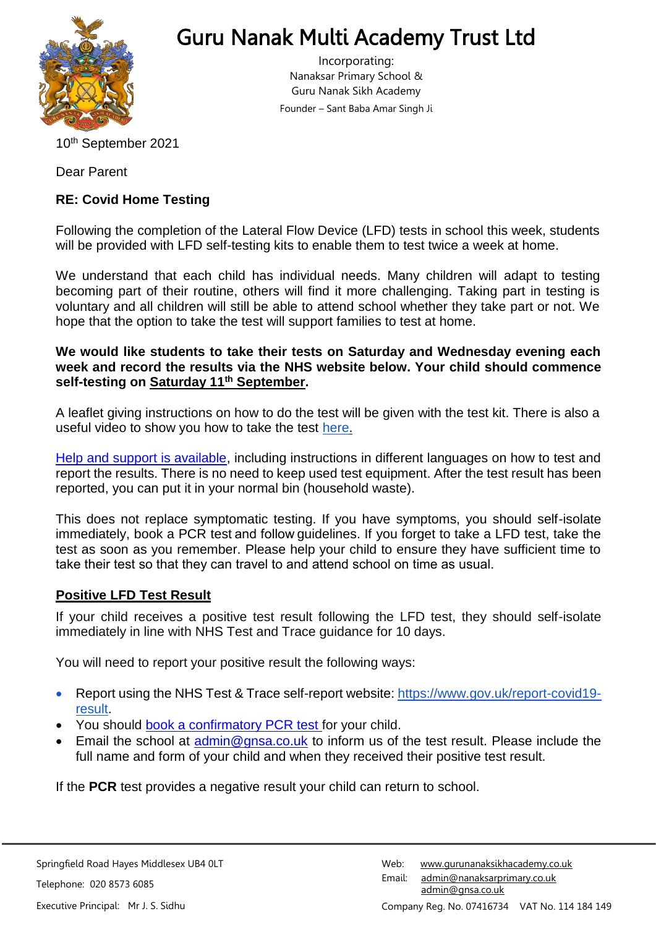

# Guru Nanak Multi Academy Trust Ltd

Incorporating: Nanaksar Primary School & Guru Nanak Sikh Academy Founder – Sant Baba Amar Singh Ji

10<sup>th</sup> September 2021

Dear Parent

## **RE: Covid Home Testing**

Following the completion of the Lateral Flow Device (LFD) tests in school this week, students will be provided with LFD self-testing kits to enable them to test twice a week at home.

We understand that each child has individual needs. Many children will adapt to testing becoming part of their routine, others will find it more challenging. Taking part in testing is voluntary and all children will still be able to attend school whether they take part or not. We hope that the option to take the test will support families to test at home.

## **We would like students to take their tests on Saturday and Wednesday evening each week and record the results via the NHS website below. Your child should commence self-testing on Saturday 11th September.**

A leaflet giving instructions on how to do the test will be given with the test kit. There is also a useful video to show you how to take the test [here.](https://www.youtube.com/watch?v=S9XR8RZxKNo&list=PLvaBZskxS7tzQYlVg7lwH5uxAD9UrSzGJ&index=1)

[Help and support is available, i](https://www.gov.uk/guidance/covid-19-self-test-help)ncluding instructions in different languages on how to test and report the results. There is no need to keep used test equipment. After the test result has been reported, you can put it in your normal bin (household waste).

This does not replace symptomatic testing. If you have symptoms, you should self-isolate immediately, book a [PCR test](https://www.gov.uk/get-coronavirus-test%22%20/t%20%22_blank) and follow guidelines. If you forget to take a LFD test, take the test as soon as you remember. Please help your child to ensure they have sufficient time to take their test so that they can travel to and attend school on time as usual. 

## **Positive LFD Test Result**

If your child receives a positive test result following the LFD test, they should self-isolate immediately in line with NHS Test and Trace guidance for 10 days.

You will need to report your positive result the following ways:

- Report using the NHS Test & Trace self-report website: [https://www.gov.uk/report-covid19](https://www.gov.uk/report-covid19-result) [result.](https://www.gov.uk/report-covid19-result)
- You should [book a confirmatory PCR test](https://www.gov.uk/get-coronavirus-test) for your child.
- **Email the school at [admin@gnsa.co.uk](mailto:admin@gnsa.co.uk) to inform us of the test result. Please include the** full name and form of your child and when they received their positive test result.

If the **PCR** test provides a negative result your child can return to school.